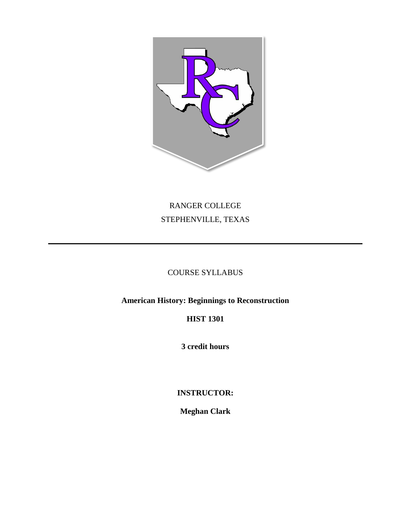

# RANGER COLLEGE STEPHENVILLE, TEXAS

# COURSE SYLLABUS

**American History: Beginnings to Reconstruction**

**HIST 1301**

**3 credit hours**

**INSTRUCTOR:**

**Meghan Clark**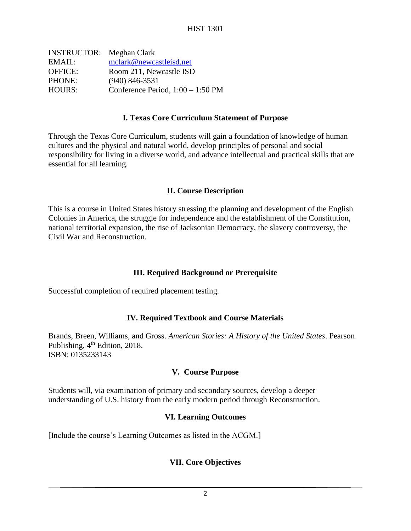| <b>INSTRUCTOR:</b> Meghan Clark     |
|-------------------------------------|
| mclark@newcastleisd.net             |
| Room 211, Newcastle ISD             |
| $(940)$ 846-3531                    |
| Conference Period, $1:00 - 1:50$ PM |
|                                     |

#### **I. Texas Core Curriculum Statement of Purpose**

Through the Texas Core Curriculum, students will gain a foundation of knowledge of human cultures and the physical and natural world, develop principles of personal and social responsibility for living in a diverse world, and advance intellectual and practical skills that are essential for all learning.

#### **II. Course Description**

This is a course in United States history stressing the planning and development of the English Colonies in America, the struggle for independence and the establishment of the Constitution, national territorial expansion, the rise of Jacksonian Democracy, the slavery controversy, the Civil War and Reconstruction.

# **III. Required Background or Prerequisite**

Successful completion of required placement testing.

# **IV. Required Textbook and Course Materials**

Brands, Breen, Williams, and Gross. *American Stories: A History of the United States*. Pearson Publishing, 4<sup>th</sup> Edition, 2018. ISBN: 0135233143

# **V. Course Purpose**

Students will, via examination of primary and secondary sources, develop a deeper understanding of U.S. history from the early modern period through Reconstruction.

# **VI. Learning Outcomes**

[Include the course's Learning Outcomes as listed in the ACGM.]

# **VII. Core Objectives**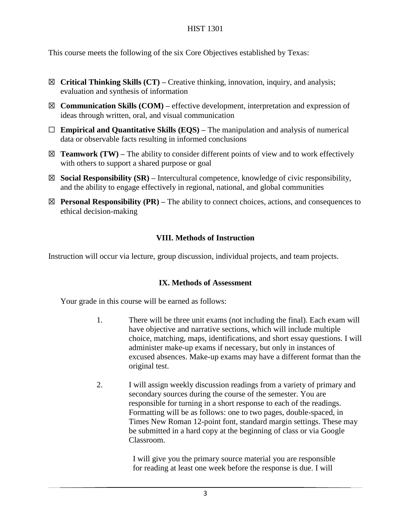This course meets the following of the six Core Objectives established by Texas:

- ☒ **Critical Thinking Skills (CT) –** Creative thinking, innovation, inquiry, and analysis; evaluation and synthesis of information
- ☒ **Communication Skills (COM) –** effective development, interpretation and expression of ideas through written, oral, and visual communication
- ☐ **Empirical and Quantitative Skills (EQS) –** The manipulation and analysis of numerical data or observable facts resulting in informed conclusions
- $\boxtimes$  **Teamwork (TW)** The ability to consider different points of view and to work effectively with others to support a shared purpose or goal
- ☒ **Social Responsibility (SR) –** Intercultural competence, knowledge of civic responsibility, and the ability to engage effectively in regional, national, and global communities
- ☒ **Personal Responsibility (PR) –** The ability to connect choices, actions, and consequences to ethical decision-making

# **VIII. Methods of Instruction**

Instruction will occur via lecture, group discussion, individual projects, and team projects.

# **IX. Methods of Assessment**

Your grade in this course will be earned as follows:

- 1. There will be three unit exams (not including the final). Each exam will have objective and narrative sections, which will include multiple choice, matching, maps, identifications, and short essay questions. I will administer make-up exams if necessary, but only in instances of excused absences. Make-up exams may have a different format than the original test.
- 2. I will assign weekly discussion readings from a variety of primary and secondary sources during the course of the semester. You are responsible for turning in a short response to each of the readings. Formatting will be as follows: one to two pages, double-spaced, in Times New Roman 12-point font, standard margin settings. These may be submitted in a hard copy at the beginning of class or via Google Classroom.

 I will give you the primary source material you are responsible for reading at least one week before the response is due. I will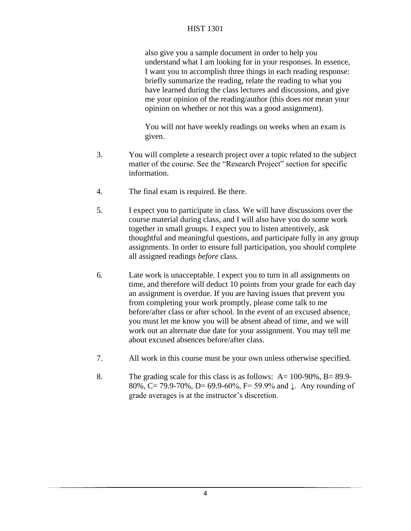also give you a sample document in order to help you understand what I am looking for in your responses. In essence, I want you to accomplish three things in each reading response: briefly summarize the reading, relate the reading to what you have learned during the class lectures and discussions, and give me your opinion of the reading/author (this does *not* mean your opinion on whether or not this was a good assignment).

You will not have weekly readings on weeks when an exam is given.

- 3. You will complete a research project over a topic related to the subject matter of the course. See the "Research Project" section for specific information.
- 4. The final exam is required. Be there.
- 5. I expect you to participate in class. We will have discussions over the course material during class, and I will also have you do some work together in small groups. I expect you to listen attentively, ask thoughtful and meaningful questions, and participate fully in any group assignments. In order to ensure full participation, you should complete all assigned readings *before* class.
- 6. Late work is unacceptable. I expect you to turn in all assignments on time, and therefore will deduct 10 points from your grade for each day an assignment is overdue. If you are having issues that prevent you from completing your work promptly, please come talk to me before/after class or after school. In the event of an excused absence, you must let me know you will be absent ahead of time, and we will work out an alternate due date for your assignment. You may tell me about excused absences before/after class.
- 7. All work in this course must be your own unless otherwise specified.
- 8. The grading scale for this class is as follows:  $A = 100-90\%$ ,  $B = 89.9-$ 80%, C= 79.9-70%, D= 69.9-60%, F= 59.9% and ↓. Any rounding of grade averages is at the instructor's discretion.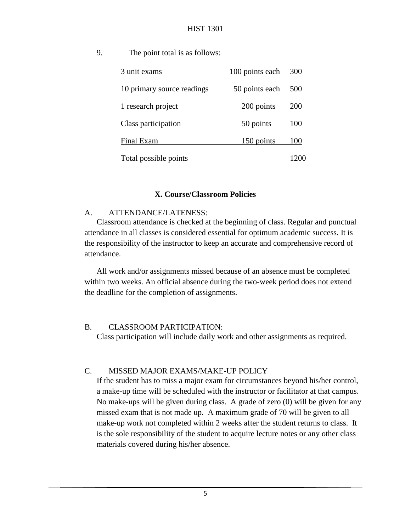9. The point total is as follows:

| 3 unit exams               | 100 points each | 300 |
|----------------------------|-----------------|-----|
| 10 primary source readings | 50 points each  | 500 |
| 1 research project         | 200 points      | 200 |
| Class participation        | 50 points       | 100 |
| Final Exam                 | 150 points      | 100 |
| Total possible points      |                 |     |

#### **X. Course/Classroom Policies**

#### A. ATTENDANCE/LATENESS:

Classroom attendance is checked at the beginning of class. Regular and punctual attendance in all classes is considered essential for optimum academic success. It is the responsibility of the instructor to keep an accurate and comprehensive record of attendance.

All work and/or assignments missed because of an absence must be completed within two weeks. An official absence during the two-week period does not extend the deadline for the completion of assignments.

#### B. CLASSROOM PARTICIPATION:

Class participation will include daily work and other assignments as required.

# C. MISSED MAJOR EXAMS/MAKE-UP POLICY

If the student has to miss a major exam for circumstances beyond his/her control, a make-up time will be scheduled with the instructor or facilitator at that campus. No make-ups will be given during class. A grade of zero (0) will be given for any missed exam that is not made up. A maximum grade of 70 will be given to all make-up work not completed within 2 weeks after the student returns to class. It is the sole responsibility of the student to acquire lecture notes or any other class materials covered during his/her absence.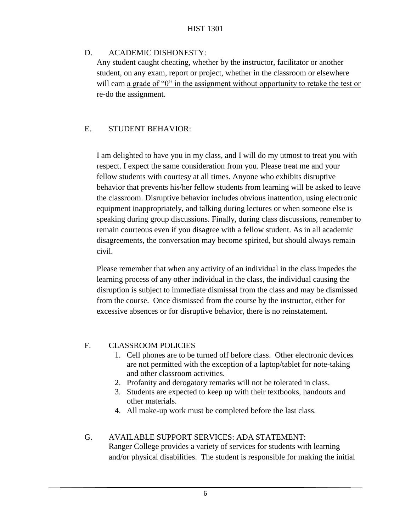# D. ACADEMIC DISHONESTY:

Any student caught cheating, whether by the instructor, facilitator or another student, on any exam, report or project, whether in the classroom or elsewhere will earn a grade of "0" in the assignment without opportunity to retake the test or re-do the assignment.

# E. STUDENT BEHAVIOR:

I am delighted to have you in my class, and I will do my utmost to treat you with respect. I expect the same consideration from you. Please treat me and your fellow students with courtesy at all times. Anyone who exhibits disruptive behavior that prevents his/her fellow students from learning will be asked to leave the classroom. Disruptive behavior includes obvious inattention, using electronic equipment inappropriately, and talking during lectures or when someone else is speaking during group discussions. Finally, during class discussions, remember to remain courteous even if you disagree with a fellow student. As in all academic disagreements, the conversation may become spirited, but should always remain civil.

Please remember that when any activity of an individual in the class impedes the learning process of any other individual in the class, the individual causing the disruption is subject to immediate dismissal from the class and may be dismissed from the course. Once dismissed from the course by the instructor, either for excessive absences or for disruptive behavior, there is no reinstatement.

# F. CLASSROOM POLICIES

- 1. Cell phones are to be turned off before class. Other electronic devices are not permitted with the exception of a laptop/tablet for note-taking and other classroom activities.
- 2. Profanity and derogatory remarks will not be tolerated in class.
- 3. Students are expected to keep up with their textbooks, handouts and other materials.
- 4. All make-up work must be completed before the last class.
- G. AVAILABLE SUPPORT SERVICES: ADA STATEMENT: Ranger College provides a variety of services for students with learning and/or physical disabilities. The student is responsible for making the initial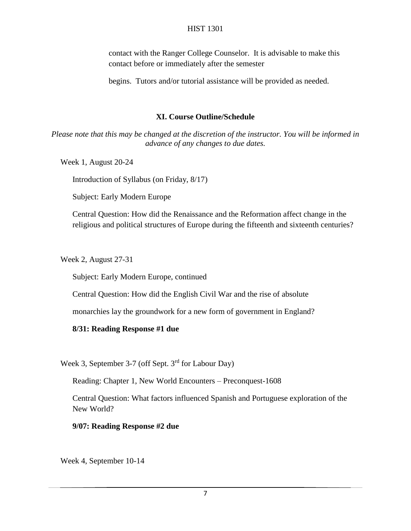contact with the Ranger College Counselor. It is advisable to make this contact before or immediately after the semester

begins. Tutors and/or tutorial assistance will be provided as needed.

#### **XI. Course Outline/Schedule**

*Please note that this may be changed at the discretion of the instructor. You will be informed in advance of any changes to due dates.*

Week 1, August 20-24

Introduction of Syllabus (on Friday, 8/17)

Subject: Early Modern Europe

Central Question: How did the Renaissance and the Reformation affect change in the religious and political structures of Europe during the fifteenth and sixteenth centuries?

Week 2, August 27-31

Subject: Early Modern Europe, continued

Central Question: How did the English Civil War and the rise of absolute

monarchies lay the groundwork for a new form of government in England?

#### **8/31: Reading Response #1 due**

Week 3, September 3-7 (off Sept. 3<sup>rd</sup> for Labour Day)

Reading: Chapter 1, New World Encounters – Preconquest-1608

Central Question: What factors influenced Spanish and Portuguese exploration of the New World?

**9/07: Reading Response #2 due**

Week 4, September 10-14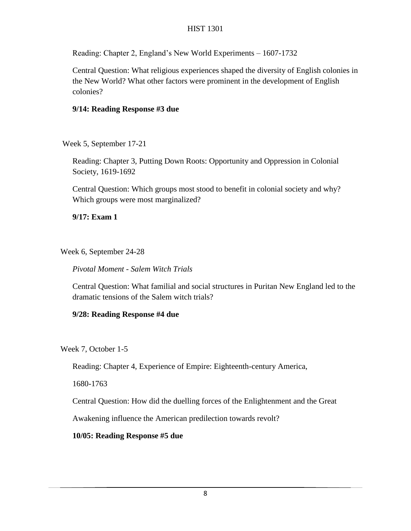Reading: Chapter 2, England's New World Experiments – 1607-1732

Central Question: What religious experiences shaped the diversity of English colonies in the New World? What other factors were prominent in the development of English colonies?

# **9/14: Reading Response #3 due**

Week 5, September 17-21

Reading: Chapter 3, Putting Down Roots: Opportunity and Oppression in Colonial Society, 1619-1692

Central Question: Which groups most stood to benefit in colonial society and why? Which groups were most marginalized?

**9/17: Exam 1** 

Week 6, September 24-28

*Pivotal Moment - Salem Witch Trials*

Central Question: What familial and social structures in Puritan New England led to the dramatic tensions of the Salem witch trials?

# **9/28: Reading Response #4 due**

Week 7, October 1-5

Reading: Chapter 4, Experience of Empire: Eighteenth-century America,

1680-1763

Central Question: How did the duelling forces of the Enlightenment and the Great

Awakening influence the American predilection towards revolt?

# **10/05: Reading Response #5 due**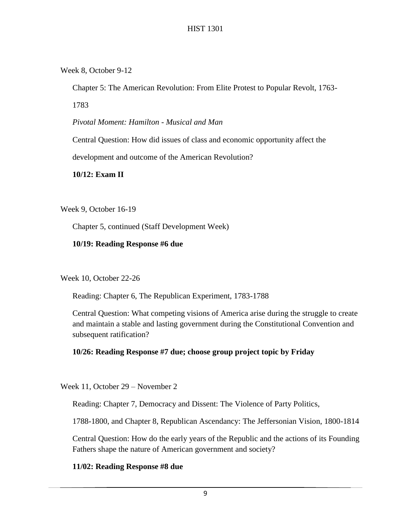Week 8, October 9-12

Chapter 5: The American Revolution: From Elite Protest to Popular Revolt, 1763-

1783

*Pivotal Moment: Hamilton - Musical and Man*

Central Question: How did issues of class and economic opportunity affect the

development and outcome of the American Revolution?

**10/12: Exam II**

Week 9, October 16-19

Chapter 5, continued (Staff Development Week)

**10/19: Reading Response #6 due**

Week 10, October 22-26

Reading: Chapter 6, The Republican Experiment, 1783-1788

Central Question: What competing visions of America arise during the struggle to create and maintain a stable and lasting government during the Constitutional Convention and subsequent ratification?

# **10/26: Reading Response #7 due; choose group project topic by Friday**

Week 11, October 29 – November 2

Reading: Chapter 7, Democracy and Dissent: The Violence of Party Politics,

1788-1800, and Chapter 8, Republican Ascendancy: The Jeffersonian Vision, 1800-1814

Central Question: How do the early years of the Republic and the actions of its Founding Fathers shape the nature of American government and society?

# **11/02: Reading Response #8 due**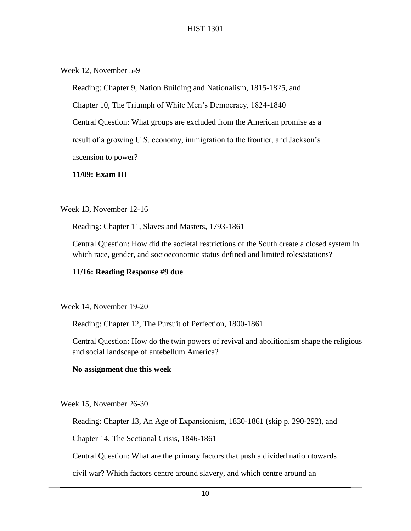Week 12, November 5-9

Reading: Chapter 9, Nation Building and Nationalism, 1815-1825, and

Chapter 10, The Triumph of White Men's Democracy, 1824-1840

Central Question: What groups are excluded from the American promise as a

result of a growing U.S. economy, immigration to the frontier, and Jackson's

ascension to power?

#### **11/09: Exam III**

Week 13, November 12-16

Reading: Chapter 11, Slaves and Masters, 1793-1861

Central Question: How did the societal restrictions of the South create a closed system in which race, gender, and socioeconomic status defined and limited roles/stations?

# **11/16: Reading Response #9 due**

Week 14, November 19-20

Reading: Chapter 12, The Pursuit of Perfection, 1800-1861

Central Question: How do the twin powers of revival and abolitionism shape the religious and social landscape of antebellum America?

# **No assignment due this week**

Week 15, November 26-30

Reading: Chapter 13, An Age of Expansionism, 1830-1861 (skip p. 290-292), and

Chapter 14, The Sectional Crisis, 1846-1861

Central Question: What are the primary factors that push a divided nation towards

civil war? Which factors centre around slavery, and which centre around an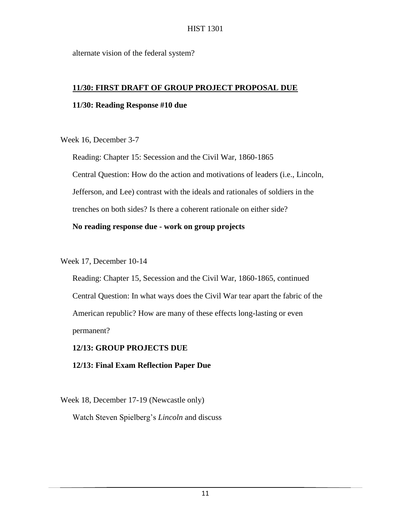alternate vision of the federal system?

#### **11/30: FIRST DRAFT OF GROUP PROJECT PROPOSAL DUE**

#### **11/30: Reading Response #10 due**

Week 16, December 3-7

Reading: Chapter 15: Secession and the Civil War, 1860-1865 Central Question: How do the action and motivations of leaders (i.e., Lincoln, Jefferson, and Lee) contrast with the ideals and rationales of soldiers in the trenches on both sides? Is there a coherent rationale on either side?

# **No reading response due - work on group projects**

Week 17, December 10-14

Reading: Chapter 15, Secession and the Civil War, 1860-1865, continued Central Question: In what ways does the Civil War tear apart the fabric of the American republic? How are many of these effects long-lasting or even permanent?

# **12/13: GROUP PROJECTS DUE**

**12/13: Final Exam Reflection Paper Due**

Week 18, December 17-19 (Newcastle only) Watch Steven Spielberg's *Lincoln* and discuss